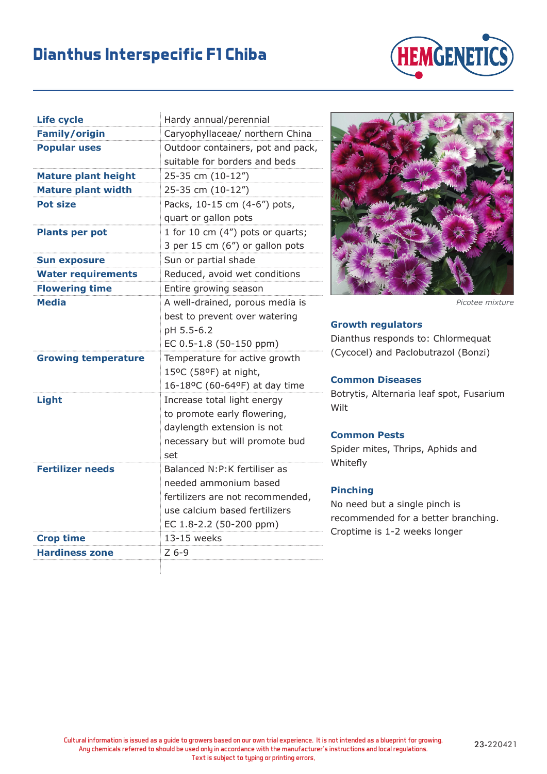## **Dianthus Interspecific F1 Chiba**



| <b>Life cycle</b>          | Hardy annual/perennial            |
|----------------------------|-----------------------------------|
| <b>Family/origin</b>       | Caryophyllaceae/ northern China   |
| <b>Popular uses</b>        | Outdoor containers, pot and pack, |
|                            | suitable for borders and beds     |
| <b>Mature plant height</b> | 25-35 cm (10-12")                 |
| <b>Mature plant width</b>  | 25-35 cm (10-12")                 |
| <b>Pot size</b>            | Packs, 10-15 cm (4-6") pots,      |
|                            | quart or gallon pots              |
| <b>Plants per pot</b>      | 1 for 10 cm (4") pots or quarts;  |
|                            | 3 per 15 cm (6") or gallon pots   |
| <b>Sun exposure</b>        | Sun or partial shade              |
| <b>Water requirements</b>  | Reduced, avoid wet conditions     |
| <b>Flowering time</b>      | Entire growing season             |
| <b>Media</b>               | A well-drained, porous media is   |
|                            | best to prevent over watering     |
|                            | pH 5.5-6.2                        |
|                            | EC 0.5-1.8 (50-150 ppm)           |
| <b>Growing temperature</b> | Temperature for active growth     |
|                            | 15°C (58°F) at night,             |
|                            | 16-18ºC (60-64ºF) at day time     |
| Light                      | Increase total light energy       |
|                            | to promote early flowering,       |
|                            | daylength extension is not        |
|                            | necessary but will promote bud    |
|                            | set                               |
| <b>Fertilizer needs</b>    | Balanced N:P:K fertiliser as      |
|                            | needed ammonium based             |
|                            | fertilizers are not recommended,  |
|                            | use calcium based fertilizers     |
|                            | EC 1.8-2.2 (50-200 ppm)           |
| <b>Crop time</b>           | 13-15 weeks                       |
| <b>Hardiness zone</b>      | $Z$ 6-9                           |



*Picotee mixture*

#### **Growth regulators**

Dianthus responds to: Chlormequat (Cycocel) and Paclobutrazol (Bonzi)

#### **Common Diseases**

Botrytis, Alternaria leaf spot, Fusarium Wilt

#### **Common Pests**

Spider mites, Thrips, Aphids and Whitefly

### **Pinching**

No need but a single pinch is recommended for a better branching. Croptime is 1-2 weeks longer